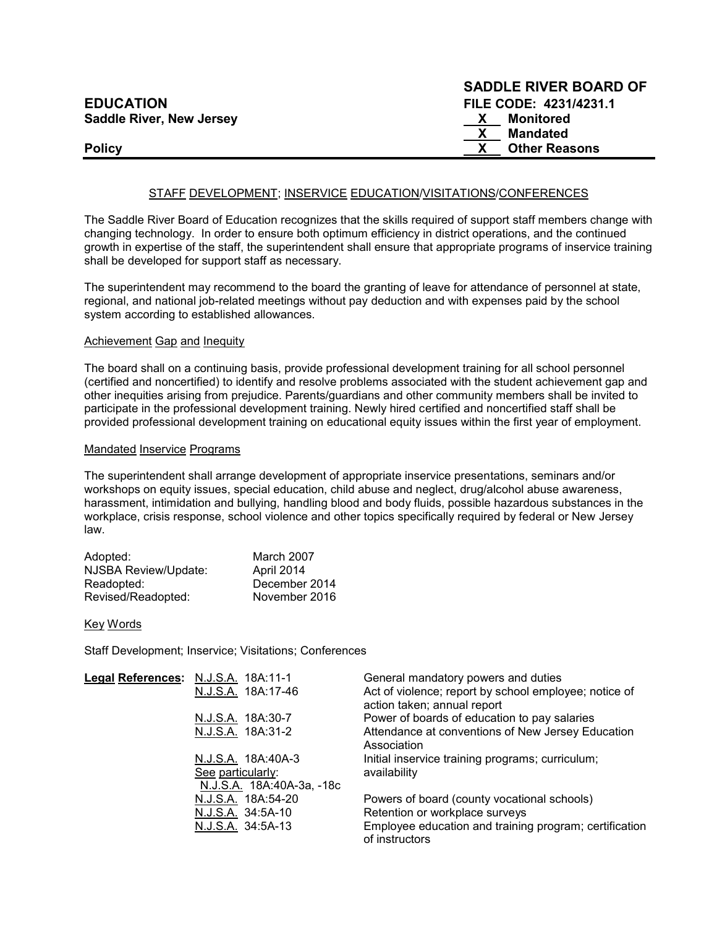|                                 | <b>SADDLE RIVER BOARD OF</b> |
|---------------------------------|------------------------------|
| <b>EDUCATION</b>                | FILE CODE: 4231/4231.1       |
| <b>Saddle River, New Jersey</b> | Monitored                    |
|                                 | Mandated                     |
| <b>Policy</b>                   | <b>Other Reasons</b>         |

 $S = S$ 

## STAFF DEVELOPMENT; INSERVICE EDUCATION/VISITATIONS/CONFERENCES

The Saddle River Board of Education recognizes that the skills required of support staff members change with changing technology. In order to ensure both optimum efficiency in district operations, and the continued growth in expertise of the staff, the superintendent shall ensure that appropriate programs of inservice training shall be developed for support staff as necessary.

The superintendent may recommend to the board the granting of leave for attendance of personnel at state, regional, and national job-related meetings without pay deduction and with expenses paid by the school system according to established allowances.

#### **Achievement Gap and Inequity**

The board shall on a continuing basis, provide professional development training for all school personnel (certified and noncertified) to identify and resolve problems associated with the student achievement gap and other inequities arising from prejudice. Parents/guardians and other community members shall be invited to participate in the professional development training. Newly hired certified and noncertified staff shall be provided professional development training on educational equity issues within the first year of employment.

#### Mandated Inservice Programs

The superintendent shall arrange development of appropriate inservice presentations, seminars and/or workshops on equity issues, special education, child abuse and neglect, drug/alcohol abuse awareness, harassment, intimidation and bullying, handling blood and body fluids, possible hazardous substances in the workplace, crisis response, school violence and other topics specifically required by federal or New Jersey law.

| Adopted:             | March 2007    |
|----------------------|---------------|
| NJSBA Review/Update: | April 2014    |
| Readopted:           | December 2014 |
| Revised/Readopted:   | November 2016 |

Key Words

Staff Development; Inservice; Visitations; Conferences

| Legal References: N.J.S.A. 18A:11-1 |                                                | General mandatory powers and duties                                                  |
|-------------------------------------|------------------------------------------------|--------------------------------------------------------------------------------------|
|                                     | N.J.S.A. 18A:17-46                             | Act of violence; report by school employee; notice of<br>action taken; annual report |
|                                     | N.J.S.A. 18A:30-7                              | Power of boards of education to pay salaries                                         |
|                                     | N.J.S.A. 18A:31-2                              | Attendance at conventions of New Jersey Education<br>Association                     |
|                                     | N.J.S.A. 18A:40A-3                             | Initial inservice training programs; curriculum;                                     |
|                                     | See particularly:<br>N.J.S.A. 18A:40A-3a, -18c | availability                                                                         |
|                                     | N.J.S.A. 18A:54-20                             | Powers of board (county vocational schools)                                          |
|                                     | N.J.S.A. 34:5A-10                              | Retention or workplace surveys                                                       |
|                                     | N.J.S.A. 34:5A-13                              | Employee education and training program; certification<br>of instructors             |